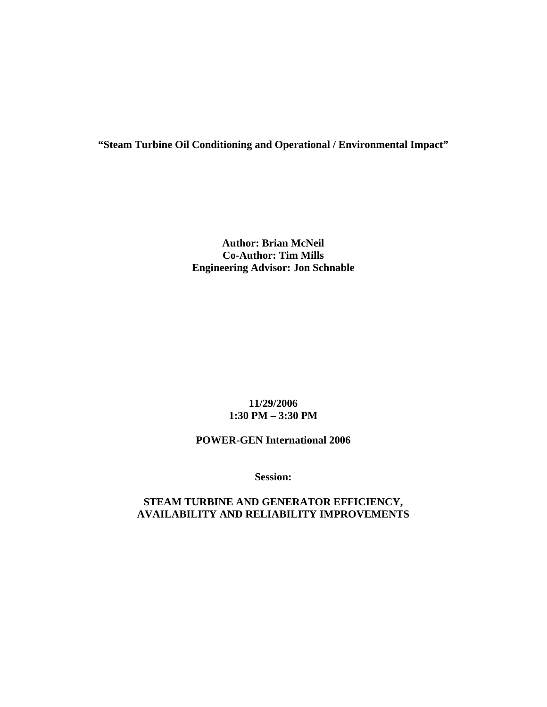# **"Steam Turbine Oil Conditioning and Operational / Environmental Impact"**

### **Author: Brian McNeil Co-Author: Tim Mills Engineering Advisor: Jon Schnable**

### **11/29/2006 1:30 PM – 3:30 PM**

## **POWER-GEN International 2006**

**Session:** 

### **STEAM TURBINE AND GENERATOR EFFICIENCY, AVAILABILITY AND RELIABILITY IMPROVEMENTS**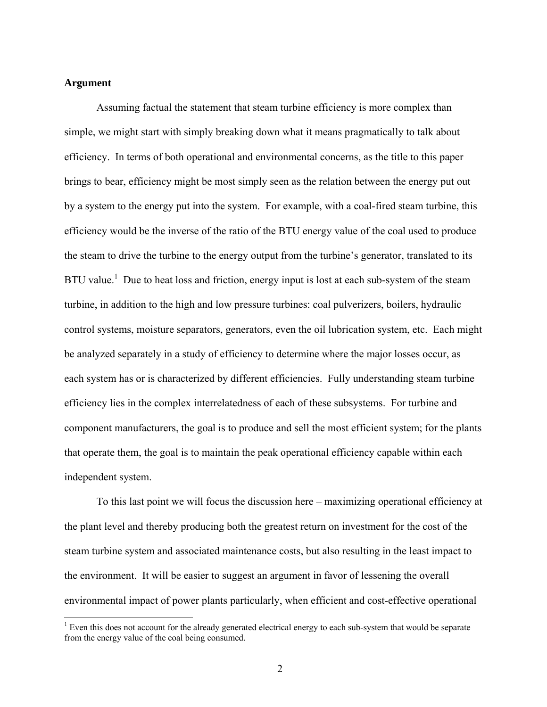#### **Argument**

 $\overline{a}$ 

Assuming factual the statement that steam turbine efficiency is more complex than simple, we might start with simply breaking down what it means pragmatically to talk about efficiency. In terms of both operational and environmental concerns, as the title to this paper brings to bear, efficiency might be most simply seen as the relation between the energy put out by a system to the energy put into the system. For example, with a coal-fired steam turbine, this efficiency would be the inverse of the ratio of the BTU energy value of the coal used to produce the steam to drive the turbine to the energy output from the turbine's generator, translated to its BTU value.<sup>1</sup> Due to heat loss and friction, energy input is lost at each sub-system of the steam turbine, in addition to the high and low pressure turbines: coal pulverizers, boilers, hydraulic control systems, moisture separators, generators, even the oil lubrication system, etc. Each might be analyzed separately in a study of efficiency to determine where the major losses occur, as each system has or is characterized by different efficiencies. Fully understanding steam turbine efficiency lies in the complex interrelatedness of each of these subsystems. For turbine and component manufacturers, the goal is to produce and sell the most efficient system; for the plants that operate them, the goal is to maintain the peak operational efficiency capable within each independent system.

 To this last point we will focus the discussion here – maximizing operational efficiency at the plant level and thereby producing both the greatest return on investment for the cost of the steam turbine system and associated maintenance costs, but also resulting in the least impact to the environment. It will be easier to suggest an argument in favor of lessening the overall environmental impact of power plants particularly, when efficient and cost-effective operational

 $1$  Even this does not account for the already generated electrical energy to each sub-system that would be separate from the energy value of the coal being consumed.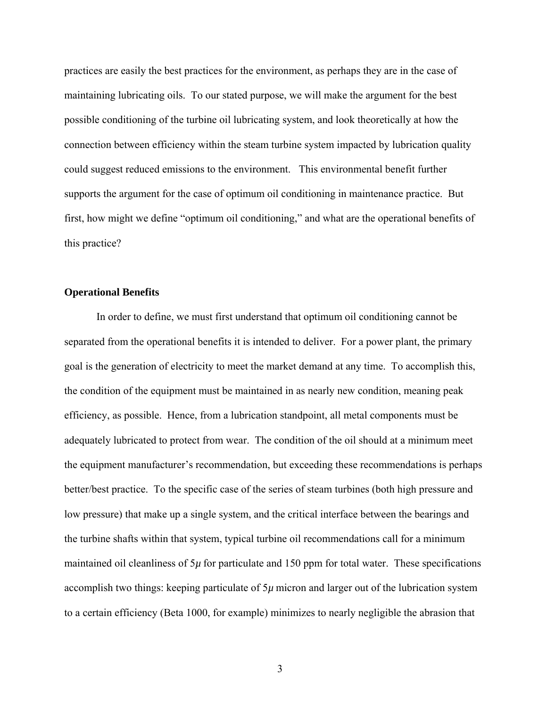practices are easily the best practices for the environment, as perhaps they are in the case of maintaining lubricating oils. To our stated purpose, we will make the argument for the best possible conditioning of the turbine oil lubricating system, and look theoretically at how the connection between efficiency within the steam turbine system impacted by lubrication quality could suggest reduced emissions to the environment. This environmental benefit further supports the argument for the case of optimum oil conditioning in maintenance practice. But first, how might we define "optimum oil conditioning," and what are the operational benefits of this practice?

#### **Operational Benefits**

 In order to define, we must first understand that optimum oil conditioning cannot be separated from the operational benefits it is intended to deliver. For a power plant, the primary goal is the generation of electricity to meet the market demand at any time. To accomplish this, the condition of the equipment must be maintained in as nearly new condition, meaning peak efficiency, as possible. Hence, from a lubrication standpoint, all metal components must be adequately lubricated to protect from wear. The condition of the oil should at a minimum meet the equipment manufacturer's recommendation, but exceeding these recommendations is perhaps better/best practice. To the specific case of the series of steam turbines (both high pressure and low pressure) that make up a single system, and the critical interface between the bearings and the turbine shafts within that system, typical turbine oil recommendations call for a minimum maintained oil cleanliness of  $5\mu$  for particulate and 150 ppm for total water. These specifications accomplish two things: keeping particulate of 5*µ* micron and larger out of the lubrication system to a certain efficiency (Beta 1000, for example) minimizes to nearly negligible the abrasion that

3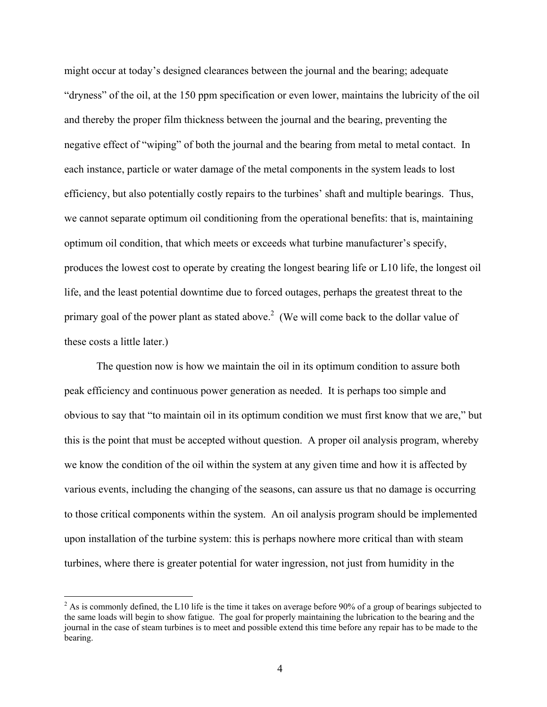might occur at today's designed clearances between the journal and the bearing; adequate "dryness" of the oil, at the 150 ppm specification or even lower, maintains the lubricity of the oil and thereby the proper film thickness between the journal and the bearing, preventing the negative effect of "wiping" of both the journal and the bearing from metal to metal contact. In each instance, particle or water damage of the metal components in the system leads to lost efficiency, but also potentially costly repairs to the turbines' shaft and multiple bearings. Thus, we cannot separate optimum oil conditioning from the operational benefits: that is, maintaining optimum oil condition, that which meets or exceeds what turbine manufacturer's specify, produces the lowest cost to operate by creating the longest bearing life or L10 life, the longest oil life, and the least potential downtime due to forced outages, perhaps the greatest threat to the primary goal of the power plant as stated above.<sup>2</sup> (We will come back to the dollar value of these costs a little later.)

 The question now is how we maintain the oil in its optimum condition to assure both peak efficiency and continuous power generation as needed. It is perhaps too simple and obvious to say that "to maintain oil in its optimum condition we must first know that we are," but this is the point that must be accepted without question. A proper oil analysis program, whereby we know the condition of the oil within the system at any given time and how it is affected by various events, including the changing of the seasons, can assure us that no damage is occurring to those critical components within the system. An oil analysis program should be implemented upon installation of the turbine system: this is perhaps nowhere more critical than with steam turbines, where there is greater potential for water ingression, not just from humidity in the

 $2^2$  As is commonly defined, the L10 life is the time it takes on average before 90% of a group of bearings subjected to the same loads will begin to show fatigue. The goal for properly maintaining the lubrication to the bearing and the journal in the case of steam turbines is to meet and possible extend this time before any repair has to be made to the bearing.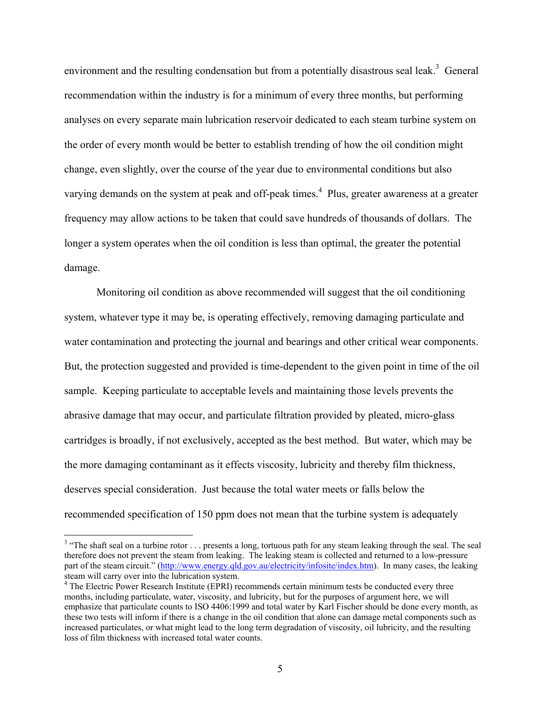environment and the resulting condensation but from a potentially disastrous seal leak.<sup>3</sup> General recommendation within the industry is for a minimum of every three months, but performing analyses on every separate main lubrication reservoir dedicated to each steam turbine system on the order of every month would be better to establish trending of how the oil condition might change, even slightly, over the course of the year due to environmental conditions but also varying demands on the system at peak and off-peak times.<sup>4</sup> Plus, greater awareness at a greater frequency may allow actions to be taken that could save hundreds of thousands of dollars. The longer a system operates when the oil condition is less than optimal, the greater the potential damage.

 Monitoring oil condition as above recommended will suggest that the oil conditioning system, whatever type it may be, is operating effectively, removing damaging particulate and water contamination and protecting the journal and bearings and other critical wear components. But, the protection suggested and provided is time-dependent to the given point in time of the oil sample. Keeping particulate to acceptable levels and maintaining those levels prevents the abrasive damage that may occur, and particulate filtration provided by pleated, micro-glass cartridges is broadly, if not exclusively, accepted as the best method. But water, which may be the more damaging contaminant as it effects viscosity, lubricity and thereby film thickness, deserves special consideration. Just because the total water meets or falls below the recommended specification of 150 ppm does not mean that the turbine system is adequately

<sup>&</sup>lt;sup>3</sup> "The shaft seal on a turbine rotor  $\ldots$  presents a long, tortuous path for any steam leaking through the seal. The seal therefore does not prevent the steam from leaking. The leaking steam is collected and returned to a low-pressure part of the steam circuit." (http://www.energy.qld.gov.au/electricity/infosite/index.htm). In many cases, the leaking steam will carry over into the lubrication system.

<sup>&</sup>lt;sup>4</sup> The Electric Power Research Institute (EPRI) recommends certain minimum tests be conducted every three months, including particulate, water, viscosity, and lubricity, but for the purposes of argument here, we will emphasize that particulate counts to ISO 4406:1999 and total water by Karl Fischer should be done every month, as these two tests will inform if there is a change in the oil condition that alone can damage metal components such as increased particulates, or what might lead to the long term degradation of viscosity, oil lubricity, and the resulting loss of film thickness with increased total water counts.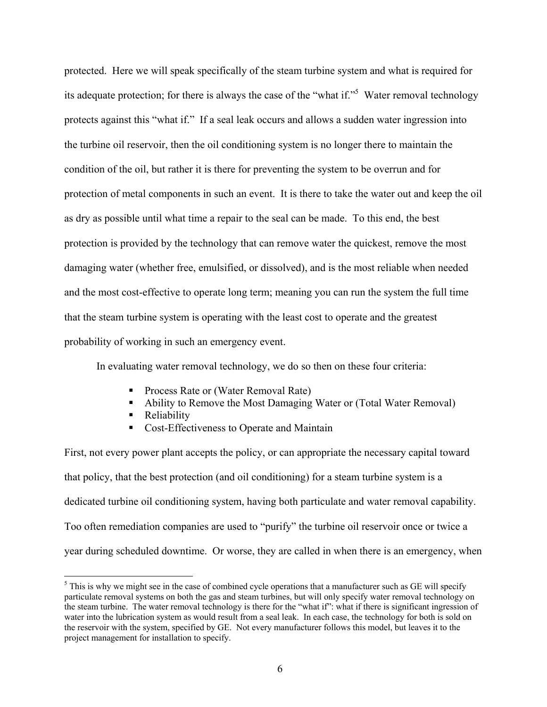protected. Here we will speak specifically of the steam turbine system and what is required for its adequate protection; for there is always the case of the "what if."<sup>5</sup> Water removal technology protects against this "what if." If a seal leak occurs and allows a sudden water ingression into the turbine oil reservoir, then the oil conditioning system is no longer there to maintain the condition of the oil, but rather it is there for preventing the system to be overrun and for protection of metal components in such an event. It is there to take the water out and keep the oil as dry as possible until what time a repair to the seal can be made. To this end, the best protection is provided by the technology that can remove water the quickest, remove the most damaging water (whether free, emulsified, or dissolved), and is the most reliable when needed and the most cost-effective to operate long term; meaning you can run the system the full time that the steam turbine system is operating with the least cost to operate and the greatest probability of working in such an emergency event.

In evaluating water removal technology, we do so then on these four criteria:

- **Process Rate or (Water Removal Rate)**
- Ability to Remove the Most Damaging Water or (Total Water Removal)
- Reliability

 $\overline{a}$ 

Cost-Effectiveness to Operate and Maintain

First, not every power plant accepts the policy, or can appropriate the necessary capital toward that policy, that the best protection (and oil conditioning) for a steam turbine system is a dedicated turbine oil conditioning system, having both particulate and water removal capability. Too often remediation companies are used to "purify" the turbine oil reservoir once or twice a year during scheduled downtime. Or worse, they are called in when there is an emergency, when

 $<sup>5</sup>$  This is why we might see in the case of combined cycle operations that a manufacturer such as GE will specify</sup> particulate removal systems on both the gas and steam turbines, but will only specify water removal technology on the steam turbine. The water removal technology is there for the "what if": what if there is significant ingression of water into the lubrication system as would result from a seal leak. In each case, the technology for both is sold on the reservoir with the system, specified by GE. Not every manufacturer follows this model, but leaves it to the project management for installation to specify.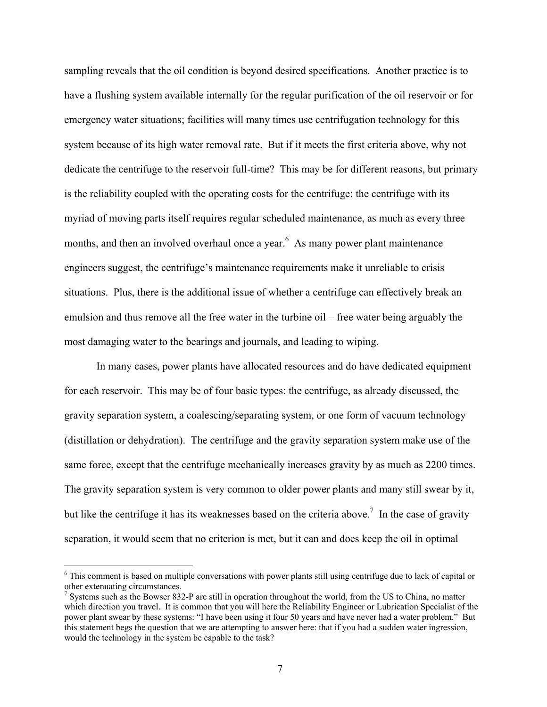sampling reveals that the oil condition is beyond desired specifications. Another practice is to have a flushing system available internally for the regular purification of the oil reservoir or for emergency water situations; facilities will many times use centrifugation technology for this system because of its high water removal rate. But if it meets the first criteria above, why not dedicate the centrifuge to the reservoir full-time? This may be for different reasons, but primary is the reliability coupled with the operating costs for the centrifuge: the centrifuge with its myriad of moving parts itself requires regular scheduled maintenance, as much as every three months, and then an involved overhaul once a year.<sup>6</sup> As many power plant maintenance engineers suggest, the centrifuge's maintenance requirements make it unreliable to crisis situations. Plus, there is the additional issue of whether a centrifuge can effectively break an emulsion and thus remove all the free water in the turbine oil – free water being arguably the most damaging water to the bearings and journals, and leading to wiping.

In many cases, power plants have allocated resources and do have dedicated equipment for each reservoir. This may be of four basic types: the centrifuge, as already discussed, the gravity separation system, a coalescing/separating system, or one form of vacuum technology (distillation or dehydration). The centrifuge and the gravity separation system make use of the same force, except that the centrifuge mechanically increases gravity by as much as 2200 times. The gravity separation system is very common to older power plants and many still swear by it, but like the centrifuge it has its weaknesses based on the criteria above.<sup>7</sup> In the case of gravity separation, it would seem that no criterion is met, but it can and does keep the oil in optimal

<sup>&</sup>lt;sup>6</sup> This comment is based on multiple conversations with power plants still using centrifuge due to lack of capital or other extenuating circumstances.

 $<sup>7</sup>$  Systems such as the Bowser 832-P are still in operation throughout the world, from the US to China, no matter</sup> which direction you travel. It is common that you will here the Reliability Engineer or Lubrication Specialist of the power plant swear by these systems: "I have been using it four 50 years and have never had a water problem." But this statement begs the question that we are attempting to answer here: that if you had a sudden water ingression, would the technology in the system be capable to the task?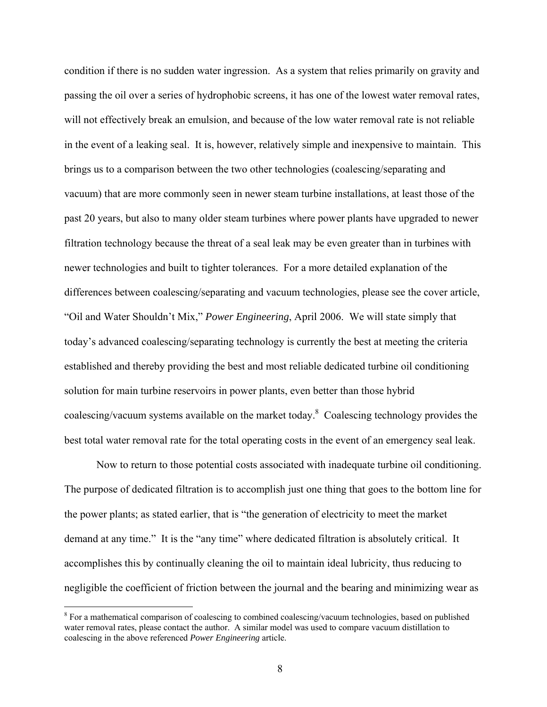condition if there is no sudden water ingression. As a system that relies primarily on gravity and passing the oil over a series of hydrophobic screens, it has one of the lowest water removal rates, will not effectively break an emulsion, and because of the low water removal rate is not reliable in the event of a leaking seal. It is, however, relatively simple and inexpensive to maintain. This brings us to a comparison between the two other technologies (coalescing/separating and vacuum) that are more commonly seen in newer steam turbine installations, at least those of the past 20 years, but also to many older steam turbines where power plants have upgraded to newer filtration technology because the threat of a seal leak may be even greater than in turbines with newer technologies and built to tighter tolerances. For a more detailed explanation of the differences between coalescing/separating and vacuum technologies, please see the cover article, "Oil and Water Shouldn't Mix," *Power Engineering*, April 2006. We will state simply that today's advanced coalescing/separating technology is currently the best at meeting the criteria established and thereby providing the best and most reliable dedicated turbine oil conditioning solution for main turbine reservoirs in power plants, even better than those hybrid coalescing/vacuum systems available on the market today.<sup>8</sup> Coalescing technology provides the best total water removal rate for the total operating costs in the event of an emergency seal leak.

Now to return to those potential costs associated with inadequate turbine oil conditioning. The purpose of dedicated filtration is to accomplish just one thing that goes to the bottom line for the power plants; as stated earlier, that is "the generation of electricity to meet the market demand at any time." It is the "any time" where dedicated filtration is absolutely critical. It accomplishes this by continually cleaning the oil to maintain ideal lubricity, thus reducing to negligible the coefficient of friction between the journal and the bearing and minimizing wear as

<sup>&</sup>lt;sup>8</sup> For a mathematical comparison of coalescing to combined coalescing/vacuum technologies, based on published water removal rates, please contact the author. A similar model was used to compare vacuum distillation to coalescing in the above referenced *Power Engineering* article.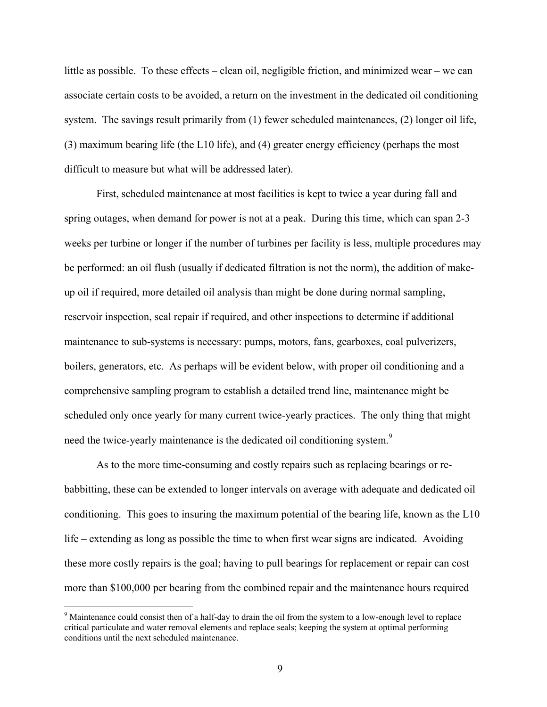little as possible. To these effects – clean oil, negligible friction, and minimized wear – we can associate certain costs to be avoided, a return on the investment in the dedicated oil conditioning system. The savings result primarily from (1) fewer scheduled maintenances, (2) longer oil life, (3) maximum bearing life (the L10 life), and (4) greater energy efficiency (perhaps the most difficult to measure but what will be addressed later).

First, scheduled maintenance at most facilities is kept to twice a year during fall and spring outages, when demand for power is not at a peak. During this time, which can span 2-3 weeks per turbine or longer if the number of turbines per facility is less, multiple procedures may be performed: an oil flush (usually if dedicated filtration is not the norm), the addition of makeup oil if required, more detailed oil analysis than might be done during normal sampling, reservoir inspection, seal repair if required, and other inspections to determine if additional maintenance to sub-systems is necessary: pumps, motors, fans, gearboxes, coal pulverizers, boilers, generators, etc. As perhaps will be evident below, with proper oil conditioning and a comprehensive sampling program to establish a detailed trend line, maintenance might be scheduled only once yearly for many current twice-yearly practices. The only thing that might need the twice-yearly maintenance is the dedicated oil conditioning system.<sup>9</sup>

As to the more time-consuming and costly repairs such as replacing bearings or rebabbitting, these can be extended to longer intervals on average with adequate and dedicated oil conditioning. This goes to insuring the maximum potential of the bearing life, known as the L10 life – extending as long as possible the time to when first wear signs are indicated. Avoiding these more costly repairs is the goal; having to pull bearings for replacement or repair can cost more than \$100,000 per bearing from the combined repair and the maintenance hours required

<sup>&</sup>lt;sup>9</sup> Maintenance could consist then of a half-day to drain the oil from the system to a low-enough level to replace critical particulate and water removal elements and replace seals; keeping the system at optimal performing conditions until the next scheduled maintenance.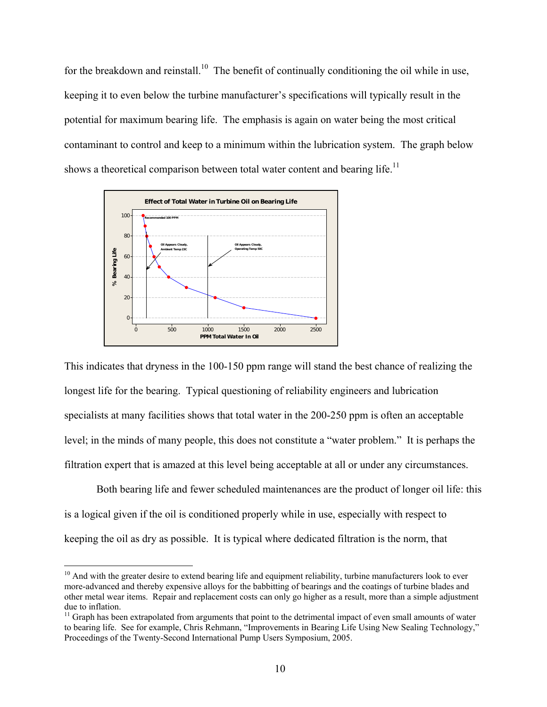for the breakdown and reinstall.<sup>10</sup> The benefit of continually conditioning the oil while in use, keeping it to even below the turbine manufacturer's specifications will typically result in the potential for maximum bearing life. The emphasis is again on water being the most critical contaminant to control and keep to a minimum within the lubrication system. The graph below shows a theoretical comparison between total water content and bearing life.<sup>11</sup>



This indicates that dryness in the 100-150 ppm range will stand the best chance of realizing the longest life for the bearing. Typical questioning of reliability engineers and lubrication specialists at many facilities shows that total water in the 200-250 ppm is often an acceptable level; in the minds of many people, this does not constitute a "water problem." It is perhaps the filtration expert that is amazed at this level being acceptable at all or under any circumstances.

Both bearing life and fewer scheduled maintenances are the product of longer oil life: this is a logical given if the oil is conditioned properly while in use, especially with respect to keeping the oil as dry as possible. It is typical where dedicated filtration is the norm, that

<u>.</u>

 $10$  And with the greater desire to extend bearing life and equipment reliability, turbine manufacturers look to ever more-advanced and thereby expensive alloys for the babbitting of bearings and the coatings of turbine blades and other metal wear items. Repair and replacement costs can only go higher as a result, more than a simple adjustment due to inflation.

<sup>&</sup>lt;sup>11</sup> Graph has been extrapolated from arguments that point to the detrimental impact of even small amounts of water to bearing life. See for example, Chris Rehmann, "Improvements in Bearing Life Using New Sealing Technology," Proceedings of the Twenty-Second International Pump Users Symposium, 2005.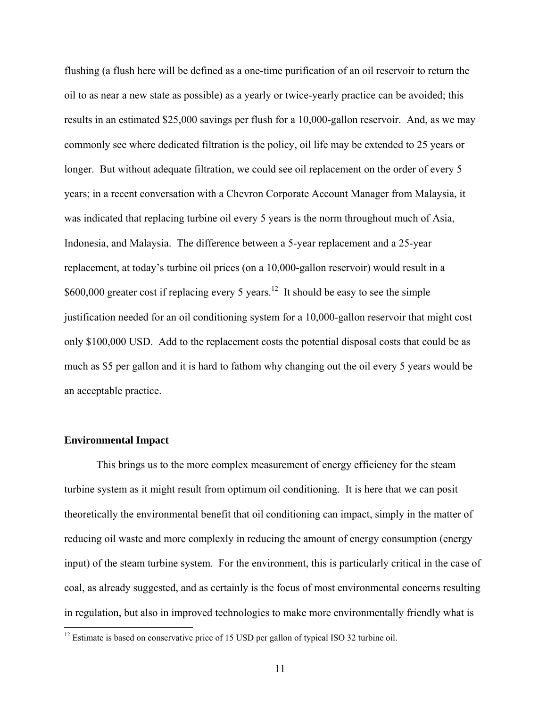flushing (a flush here will be defined as a one-time purification of an oil reservoir to return the oil to as near a new state as possible) as a yearly or twice-yearly practice can be avoided; this results in an estimated \$25,000 savings per flush for a 10,000-gallon reservoir. And, as we may commonly see where dedicated filtration is the policy, oil life may be extended to 25 years or longer. But without adequate filtration, we could see oil replacement on the order of every 5 years; in a recent conversation with a Chevron Corporate Account Manager from Malaysia, it was indicated that replacing turbine oil every 5 years is the norm throughout much of Asia, Indonesia, and Malaysia. The difference between a 5-year replacement and a 25-year replacement, at today's turbine oil prices (on a 10,000-gallon reservoir) would result in a \$600,000 greater cost if replacing every 5 years.<sup>12</sup> It should be easy to see the simple justification needed for an oil conditioning system for a 10,000-gallon reservoir that might cost only \$100,000 USD. Add to the replacement costs the potential disposal costs that could be as much as \$5 per gallon and it is hard to fathom why changing out the oil every 5 years would be an acceptable practice.

#### **Environmental Impact**

 $\overline{a}$ 

This brings us to the more complex measurement of energy efficiency for the steam turbine system as it might result from optimum oil conditioning. It is here that we can posit theoretically the environmental benefit that oil conditioning can impact, simply in the matter of reducing oil waste and more complexly in reducing the amount of energy consumption (energy input) of the steam turbine system. For the environment, this is particularly critical in the case of coal, as already suggested, and as certainly is the focus of most environmental concerns resulting in regulation, but also in improved technologies to make more environmentally friendly what is

 $12$  Estimate is based on conservative price of 15 USD per gallon of typical ISO 32 turbine oil.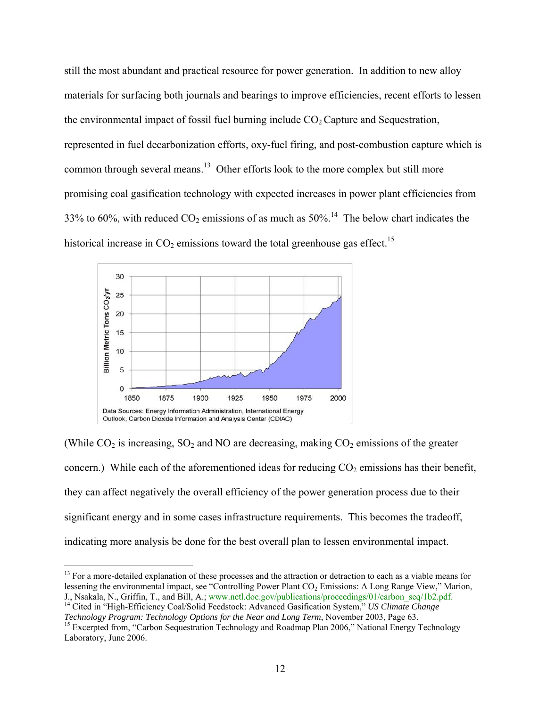still the most abundant and practical resource for power generation. In addition to new alloy materials for surfacing both journals and bearings to improve efficiencies, recent efforts to lessen the environmental impact of fossil fuel burning include  $CO<sub>2</sub>$  Capture and Sequestration, represented in fuel decarbonization efforts, oxy-fuel firing, and post-combustion capture which is common through several means.<sup>13</sup> Other efforts look to the more complex but still more promising coal gasification technology with expected increases in power plant efficiencies from 33% to 60%, with reduced  $CO_2$  emissions of as much as 50%.<sup>14</sup> The below chart indicates the historical increase in  $CO<sub>2</sub>$  emissions toward the total greenhouse gas effect.<sup>15</sup>



(While  $CO_2$  is increasing,  $SO_2$  and NO are decreasing, making  $CO_2$  emissions of the greater concern.) While each of the aforementioned ideas for reducing  $CO<sub>2</sub>$  emissions has their benefit, they can affect negatively the overall efficiency of the power generation process due to their significant energy and in some cases infrastructure requirements. This becomes the tradeoff, indicating more analysis be done for the best overall plan to lessen environmental impact.

<sup>&</sup>lt;sup>13</sup> For a more-detailed explanation of these processes and the attraction or detraction to each as a viable means for lessening the environmental impact, see "Controlling Power Plant CO<sub>2</sub> Emissions: A Long Range View," Marion, J., Nsakala, N., Griffin, T., and Bill, A.; www.netl.doe.gov/publications/proceedings/01/carbon\_seq/1b2.pdf. 14 Cited in "High-Efficiency Coal/Solid Feedstock: Advanced Gasification System," *US Climate Change* 

*Technology Program: Technology Options for the Near and Long Term*, November 2003, Page 63.<br><sup>15</sup> Excerpted from, "Carbon Sequestration Technology and Roadmap Plan 2006," National Energy Technology

Laboratory, June 2006.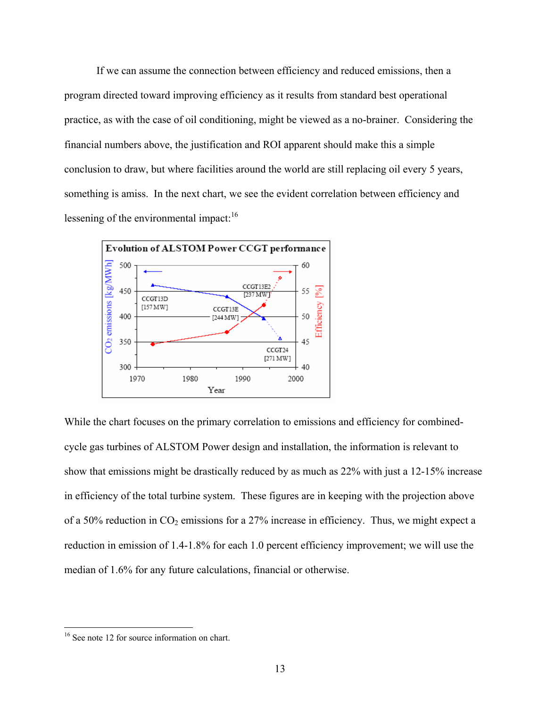If we can assume the connection between efficiency and reduced emissions, then a program directed toward improving efficiency as it results from standard best operational practice, as with the case of oil conditioning, might be viewed as a no-brainer. Considering the financial numbers above, the justification and ROI apparent should make this a simple conclusion to draw, but where facilities around the world are still replacing oil every 5 years, something is amiss. In the next chart, we see the evident correlation between efficiency and lessening of the environmental impact: $16$ 



While the chart focuses on the primary correlation to emissions and efficiency for combinedcycle gas turbines of ALSTOM Power design and installation, the information is relevant to show that emissions might be drastically reduced by as much as 22% with just a 12-15% increase in efficiency of the total turbine system. These figures are in keeping with the projection above of a 50% reduction in  $CO_2$  emissions for a 27% increase in efficiency. Thus, we might expect a reduction in emission of 1.4-1.8% for each 1.0 percent efficiency improvement; we will use the median of 1.6% for any future calculations, financial or otherwise.

<sup>&</sup>lt;sup>16</sup> See note 12 for source information on chart.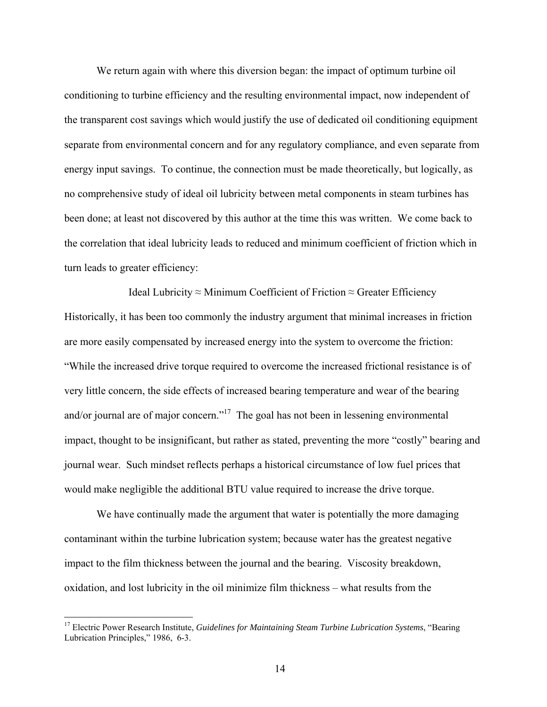We return again with where this diversion began: the impact of optimum turbine oil conditioning to turbine efficiency and the resulting environmental impact, now independent of the transparent cost savings which would justify the use of dedicated oil conditioning equipment separate from environmental concern and for any regulatory compliance, and even separate from energy input savings. To continue, the connection must be made theoretically, but logically, as no comprehensive study of ideal oil lubricity between metal components in steam turbines has been done; at least not discovered by this author at the time this was written. We come back to the correlation that ideal lubricity leads to reduced and minimum coefficient of friction which in turn leads to greater efficiency:

Ideal Lubricity ≈ Minimum Coefficient of Friction  $\approx$  Greater Efficiency Historically, it has been too commonly the industry argument that minimal increases in friction are more easily compensated by increased energy into the system to overcome the friction: "While the increased drive torque required to overcome the increased frictional resistance is of very little concern, the side effects of increased bearing temperature and wear of the bearing and/or journal are of major concern."<sup>17</sup> The goal has not been in lessening environmental impact, thought to be insignificant, but rather as stated, preventing the more "costly" bearing and journal wear. Such mindset reflects perhaps a historical circumstance of low fuel prices that would make negligible the additional BTU value required to increase the drive torque.

 We have continually made the argument that water is potentially the more damaging contaminant within the turbine lubrication system; because water has the greatest negative impact to the film thickness between the journal and the bearing. Viscosity breakdown, oxidation, and lost lubricity in the oil minimize film thickness – what results from the

<sup>&</sup>lt;sup>17</sup> Electric Power Research Institute, *Guidelines for Maintaining Steam Turbine Lubrication Systems*, "Bearing Lubrication Principles," 1986, 6-3.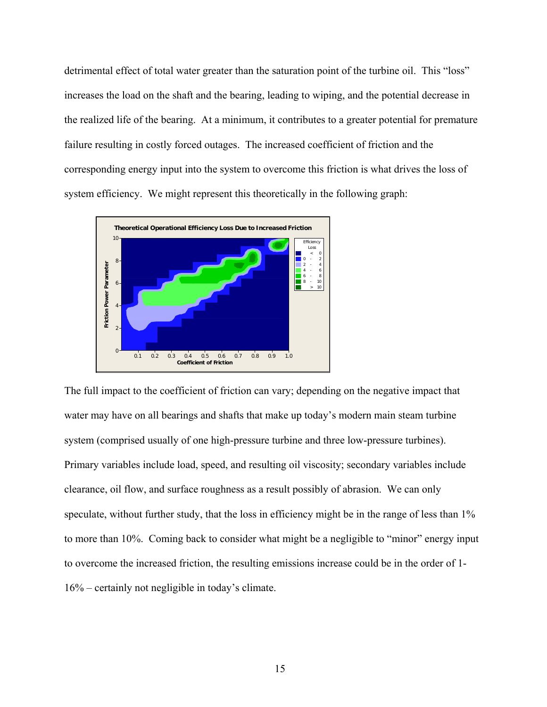detrimental effect of total water greater than the saturation point of the turbine oil. This "loss" increases the load on the shaft and the bearing, leading to wiping, and the potential decrease in the realized life of the bearing. At a minimum, it contributes to a greater potential for premature failure resulting in costly forced outages. The increased coefficient of friction and the corresponding energy input into the system to overcome this friction is what drives the loss of system efficiency. We might represent this theoretically in the following graph:



The full impact to the coefficient of friction can vary; depending on the negative impact that water may have on all bearings and shafts that make up today's modern main steam turbine system (comprised usually of one high-pressure turbine and three low-pressure turbines). Primary variables include load, speed, and resulting oil viscosity; secondary variables include clearance, oil flow, and surface roughness as a result possibly of abrasion. We can only speculate, without further study, that the loss in efficiency might be in the range of less than 1% to more than 10%. Coming back to consider what might be a negligible to "minor" energy input to overcome the increased friction, the resulting emissions increase could be in the order of 1- 16% – certainly not negligible in today's climate.